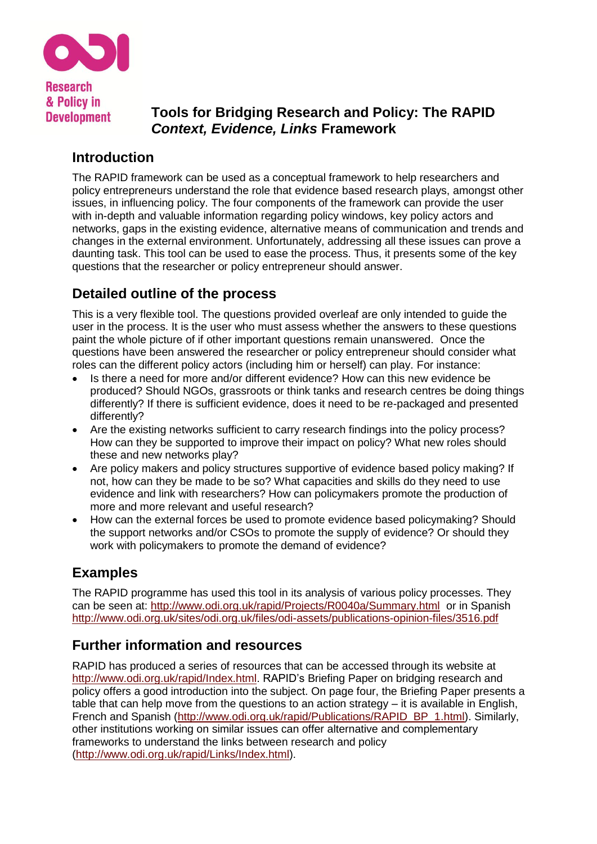

**Development** 

**Tools for Bridging Research and Policy: The RAPID**  *Context, Evidence, Links* **Framework**

# **Introduction**

The RAPID framework can be used as a conceptual framework to help researchers and policy entrepreneurs understand the role that evidence based research plays, amongst other issues, in influencing policy. The four components of the framework can provide the user with in-depth and valuable information regarding policy windows, key policy actors and networks, gaps in the existing evidence, alternative means of communication and trends and changes in the external environment. Unfortunately, addressing all these issues can prove a daunting task. This tool can be used to ease the process. Thus, it presents some of the key questions that the researcher or policy entrepreneur should answer.

# **Detailed outline of the process**

This is a very flexible tool. The questions provided overleaf are only intended to guide the user in the process. It is the user who must assess whether the answers to these questions paint the whole picture of if other important questions remain unanswered. Once the questions have been answered the researcher or policy entrepreneur should consider what roles can the different policy actors (including him or herself) can play. For instance:

- Is there a need for more and/or different evidence? How can this new evidence be produced? Should NGOs, grassroots or think tanks and research centres be doing things differently? If there is sufficient evidence, does it need to be re-packaged and presented differently?
- Are the existing networks sufficient to carry research findings into the policy process? How can they be supported to improve their impact on policy? What new roles should these and new networks play?
- Are policy makers and policy structures supportive of evidence based policy making? If not, how can they be made to be so? What capacities and skills do they need to use evidence and link with researchers? How can policymakers promote the production of more and more relevant and useful research?
- How can the external forces be used to promote evidence based policymaking? Should the support networks and/or CSOs to promote the supply of evidence? Or should they work with policymakers to promote the demand of evidence?

# **Examples**

The RAPID programme has used this tool in its analysis of various policy processes. They can be seen at: <http://www.odi.org.uk/rapid/Projects/R0040a/Summary.html>or in Spanish <http://www.odi.org.uk/sites/odi.org.uk/files/odi-assets/publications-opinion-files/3516.pdf>

# **Further information and resources**

RAPID has produced a series of resources that can be accessed through its website at [http://www.odi.org.uk/rapid/Index.html.](http://www.odi.org.uk/rapid/Index.html) RAPID's Briefing Paper on bridging research and policy offers a good introduction into the subject. On page four, the Briefing Paper presents a table that can help move from the questions to an action strategy – it is available in English, French and Spanish [\(http://www.odi.org.uk/rapid/Publications/RAPID\\_BP\\_1.html\)](http://www.odi.org.uk/rapid/Publications/RAPID_BP_1.html). Similarly, other institutions working on similar issues can offer alternative and complementary frameworks to understand the links between research and policy [\(http://www.odi.org.uk/rapid/Links/Index.html\)](http://www.odi.org.uk/rapid/Links/Index.html).